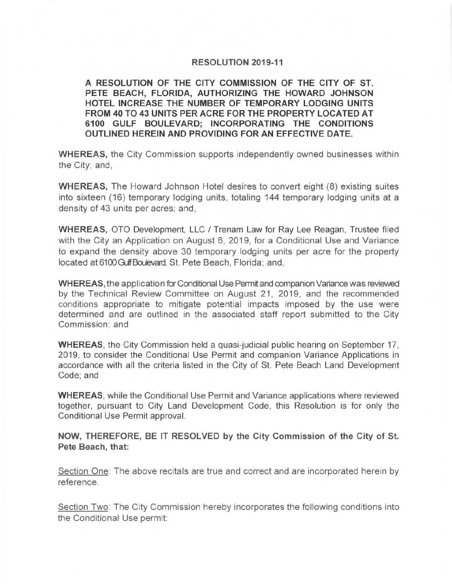## **RESOLUTION 2019-11**

**A RESOLUTION OF THE CITY COMMISSION OF THE CITY OF ST. PETE BEACH, FLORIDA, AUTHORIZING THE HOWARD JOHNSON HOTEL INCREASE THE NUMBER OF TEMPORARY LODGING UNITS FROM 40 TO 43 UNITS PER ACRE FOR THE PROPERTY LOCATED AT 6100 GULF BOULEVARD; INCORPORATING THE CONDITIONS OUTLINED HEREIN AND PROVIDING FOR AN EFFECTIVE DATE.** 

**WHEREAS,** the City Commission supports independently owned businesses within the City; and,

**WHEREAS,** The Howard Johnson Hotel desires to convert eight (8) existing suites into sixteen (16) temporary lodging units, totaling 144 temporary lodging units at a density of 43 units per acres; and,

**WHEREAS,** OTO Development, LLC I Trenam Law for Ray Lee Reagan, Trustee filed with the City an Application on August 6, 2019, for a Conditional Use and Variance to expand the density above 30 temporary lodging units per acre for the property located at 6100 Gulf Boulevard, St. Pete Beach, Florida; and,

**WHEREAS,** the application for Conditional Use Permit and companion Variance was reviewed by the Technical Review Committee on August 21, 2019, and the recommended conditions appropriate to mitigate potential impacts imposed by the use were determined and are outlined in the associated staff report submitted to the City Commission; and

**WHEREAS,** the City Commission held a quasi-judicial public hearing on September 17, 2019, to consider the Conditional Use Permit and companion Variance Applications in accordance with all the criteria listed in the City of St. Pete Beach Land Development Code; and

**WHEREAS,** while the Conditional Use Permit and Variance applications where reviewed together, pursuant to City Land Development Code, this Resolution is for only the Conditional Use Permit approval.

**NOW, THEREFORE, BE IT RESOLVED by the City Commission of the City of St. Pete Beach, that:** 

Section One: The above recitals are true and correct and are incorporated herein by reference.

Section Two: The City Commission hereby incorporates the following conditions into the Conditional Use permit: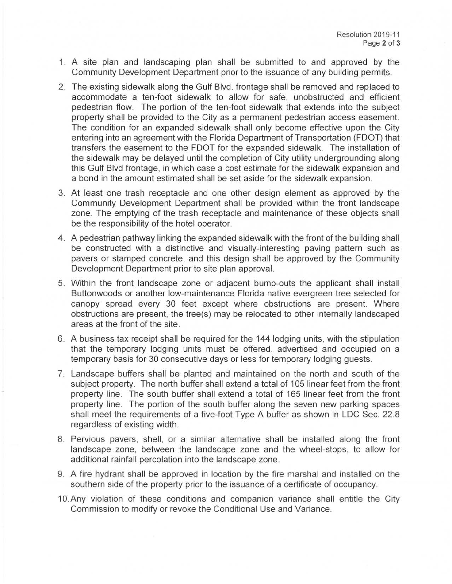- 1. A site plan and landscaping plan shall be submitted to and approved by the Community Development Department prior to the issuance of any building permits.
- 2. The existing sidewalk along the Gulf Blvd, frontage shall be removed and replaced to accommodate a ten-foot sidewalk to allow for safe, unobstructed and efficient pedestrian flow. The portion of the ten-foot sidewalk that extends into the subject property shall be provided to the City as a permanent pedestrian access easement. The condition for an expanded sidewalk shall only become effective upon the City entering into an agreement with the Florida Department of Transportation (FOOT) that transfers the easement to the FOOT for the expanded sidewalk. The installation of the sidewalk may be delayed until the completion of City utility undergrounding along this Gulf Blvd frontage, in which case a cost estimate for the sidewalk expansion and a bond in the amount estimated shall be set aside for the sidewalk expansion .
- 3. At least one trash receptacle and one other design element as approved by the Community Development Department shall be provided within the front landscape zone. The emptying of the trash receptacle and maintenance of these objects shall be the responsibility of the hotel operator.
- 4. A pedestrian pathway linking the expanded sidewalk with the front of the building shall be constructed with a distinctive and visually-interesting paving pattern such as pavers or stamped concrete, and this design shall be approved by the Community Development Department prior to site plan approval.
- 5. Within the front landscape zone or adjacent bump-outs the applicant shall install Buttonwoods or another low-maintenance Florida native evergreen tree selected for canopy spread every 30 feet except where obstructions are present. Where obstructions are present, the tree(s) may be relocated to other internally landscaped areas at the front of the site.
- 6. A business tax receipt shall be required for the 144 lodging units, with the stipulation that the temporary lodging units must be offered, advertised and occupied on a temporary basis for 30 consecutive days or less for temporary lodging guests.
- 7. Landscape buffers shall be planted and maintained on the north and south of the subject property. The north buffer shall extend a total of 105 linear feet from the front property line. The south buffer shall extend a total of 165 linear feet from the front property line. The portion of the south buffer along the seven new parking spaces shall meet the requirements of a five-foot Type A buffer as shown in LDC Sec. 22 .8 regardless of existing width .
- 8. Pervious pavers, shell, or a similar alternative shall be installed along the front landscape zone, between the landscape zone and the wheel-stops, to allow for additional rainfall percolation into the landscape zone.
- 9. A fire hydrant shall be approved in location by the fire marshal and installed on the southern side of the property prior to the issuance of a certificate of occupancy.
- 10. Any violation of these conditions and companion variance shall entitle the City Commission to modify or revoke the Conditional Use and Variance.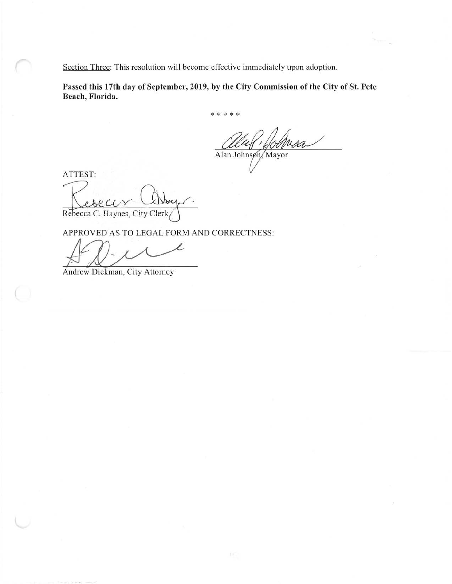Section Three: This resolution will become effective immediately upon adoption.

**Passed this 17th day of September, 2019, by the City Commission of the City of St. Pete Beach, Florida.** 

\* \* \* \* \*

Alan Johnson Mayor

ATTEST:

Lesear Abry. Rebecca C. Haynes, City Clerk

APPROVED AS TO LEGAL FORM AND CORRECTNESS:

l Andrew Dickman, City Attorney